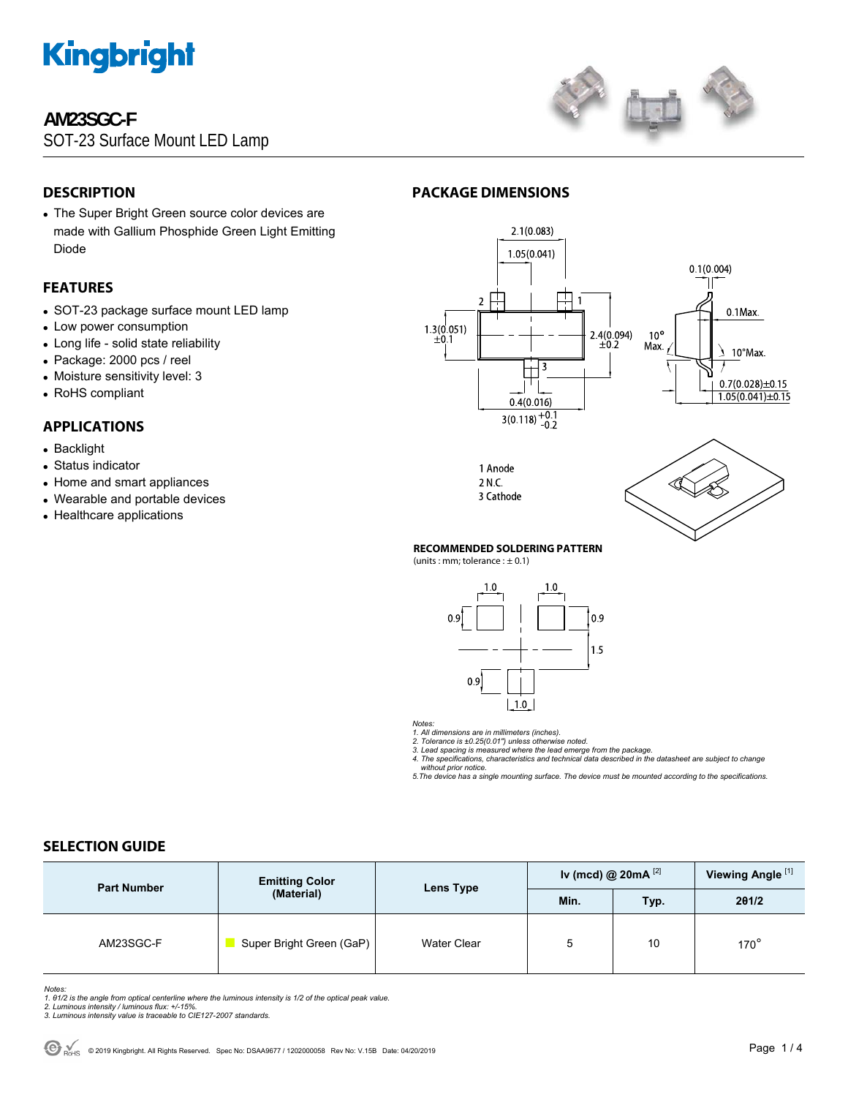

## **AM23SGC-F**

SOT-23 Surface Mount LED Lamp



## **DESCRIPTION**

• The Super Bright Green source color devices are made with Gallium Phosphide Green Light Emitting Diode

#### **FEATURES**

- SOT-23 package surface mount LED lamp
- Low power consumption
- Long life solid state reliability
- Package: 2000 pcs / reel
- Moisture sensitivity level: 3
- RoHS compliant

### **APPLICATIONS**

- Backlight
- Status indicator
- Home and smart appliances
- Wearable and portable devices
- Healthcare applications







#### 1 Anode 2 N.C. 3 Cathode

**PACKAGE DIMENSIONS** 

#### **RECOMMENDED SOLDERING PATTERN**

 $(units:mm:tolerance:  $\pm$  0.1)$ 



*Notes:* 

1. All dimensions are in millimeters (inches).<br>2. Tolerance is ±0.25(0.01") unless otherwise noted.<br>3. Lead spacing is measured where the lead emerge from the package.<br>4. The specifications, characteristics and technical d

 *without prior notice. 5.The device has a single mounting surface. The device must be mounted according to the specifications.* 

## **SELECTION GUIDE**

| <b>Part Number</b> | <b>Emitting Color</b><br>(Material) | Lens Type          | Iv (mcd) @ 20mA $^{[2]}$ |      | Viewing Angle <sup>[1]</sup> |
|--------------------|-------------------------------------|--------------------|--------------------------|------|------------------------------|
|                    |                                     |                    | Min.                     | Typ. | 201/2                        |
| AM23SGC-F          | Super Bright Green (GaP)            | <b>Water Clear</b> | 5                        | 10   | $170^\circ$                  |

*Notes:* 

- 1. 01/2 is the angle from optical centerline where the luminous intensity is 1/2 of the optical peak value.<br>2. Luminous intensity / luminous flux: +/-15%.<br>3. Luminous intensity value is traceable to CIE127-2007 standards.
- 
-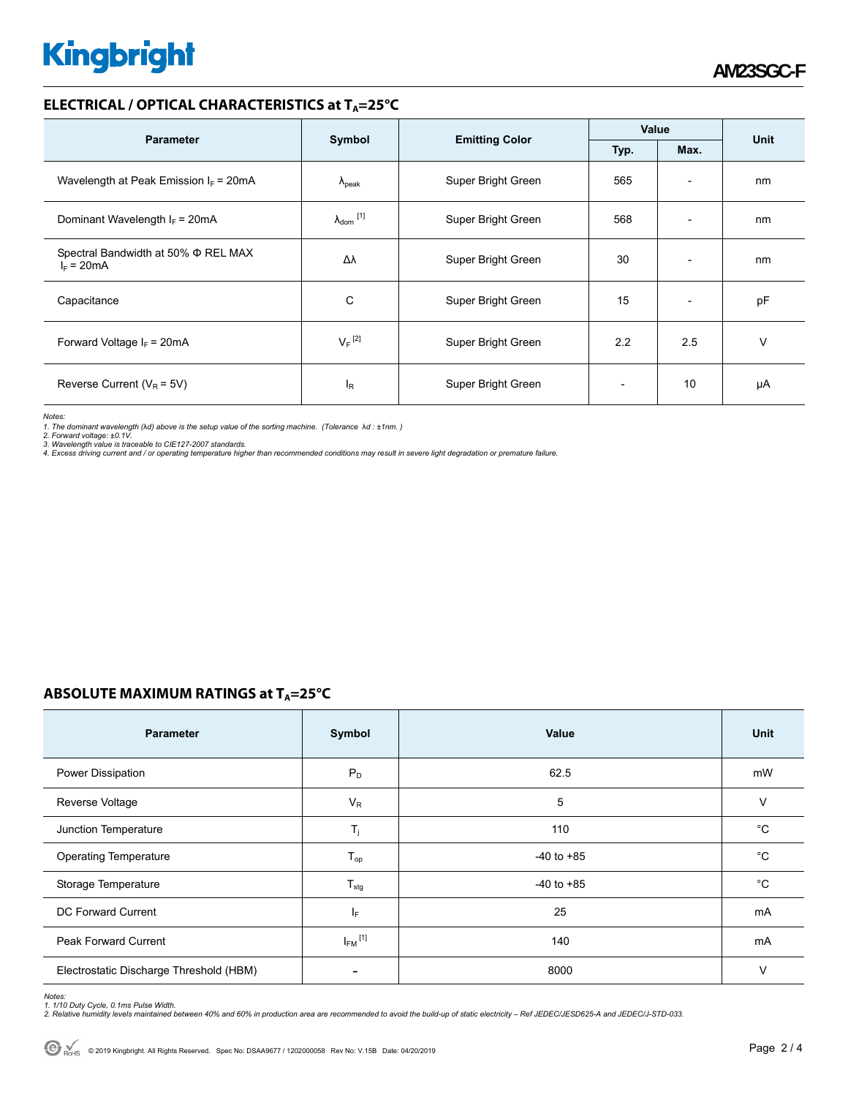# **Kingbright**

#### **ELECTRICAL / OPTICAL CHARACTERISTICS at T<sub>A</sub>=25°C**

|                                                     |                            |                       | Value        |                          | Unit |
|-----------------------------------------------------|----------------------------|-----------------------|--------------|--------------------------|------|
| <b>Parameter</b>                                    | Symbol                     | <b>Emitting Color</b> | Max.<br>Typ. |                          |      |
| Wavelength at Peak Emission $I_F$ = 20mA            | $\lambda_{\rm peak}$       | Super Bright Green    | 565          | $\overline{\phantom{a}}$ | nm   |
| Dominant Wavelength $I_F$ = 20mA                    | $\lambda_{\text{dom}}$ [1] | Super Bright Green    | 568          | $\overline{\phantom{a}}$ | nm   |
| Spectral Bandwidth at 50% Φ REL MAX<br>$I_F = 20mA$ | Δλ                         | Super Bright Green    | 30           | $\overline{\phantom{a}}$ | nm   |
| Capacitance                                         | С                          | Super Bright Green    | 15           | $\overline{\phantom{a}}$ | pF   |
| Forward Voltage $I_F$ = 20mA                        | $V_F$ <sup>[2]</sup>       | Super Bright Green    | 2.2          | 2.5                      | v    |
| Reverse Current ( $V_R$ = 5V)                       | l <sub>R</sub>             | Super Bright Green    |              | 10                       | μA   |

*Notes:* 

1. The dominant wavelength (λd) above is the setup value of the sorting machine. (Tolerance λd : ±1nm. )<br>2. Forward voltage: ±0.1V.<br>3. Wavelength value is traceable to CIE127-2007 standards.<br>4. Excess driving current and /

## **ABSOLUTE MAXIMUM RATINGS at T<sub>A</sub>=25°C**

| <b>Parameter</b>                        | Symbol                     | Value          | Unit        |
|-----------------------------------------|----------------------------|----------------|-------------|
| Power Dissipation                       | $P_D$                      | 62.5           | mW          |
| Reverse Voltage                         | $V_R$                      | 5              | V           |
| Junction Temperature                    | $T_j$                      | 110            | $^{\circ}C$ |
| <b>Operating Temperature</b>            | $\mathsf{T}_{\mathsf{op}}$ | $-40$ to $+85$ | °C          |
| Storage Temperature                     | $T_{\text{stg}}$           | $-40$ to $+85$ | °C          |
| DC Forward Current                      | ΙF                         | 25             | mA          |
| <b>Peak Forward Current</b>             | $I_{FM}$ <sup>[1]</sup>    | 140            | mA          |
| Electrostatic Discharge Threshold (HBM) | $\overline{\phantom{a}}$   | 8000           | $\vee$      |

Notes:<br>1. 1/10 Duty Cycle, 0.1ms Pulse Width.<br>2. Relative humidity levels maintained between 40% and 60% in production area are recommended to avoid the build-up of static electricity – Ref JEDEC/JESD625-A and JEDEC/J-STD-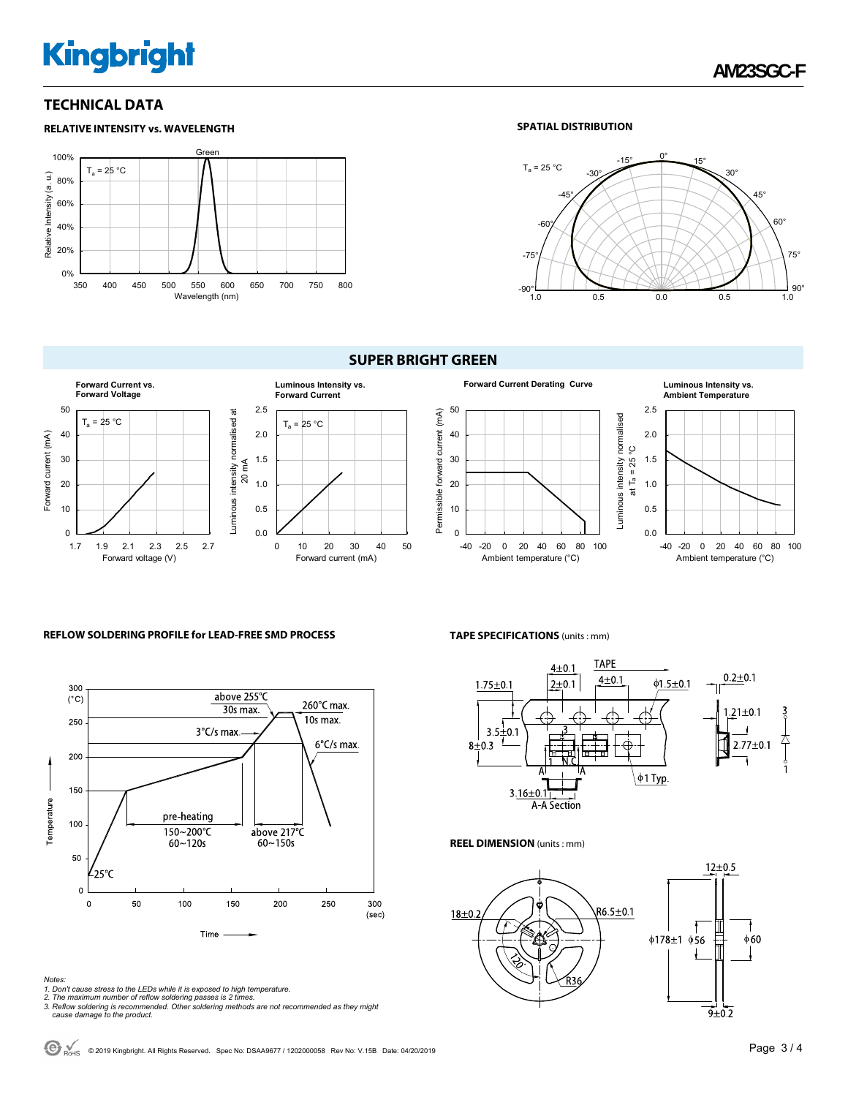# **Kingbright**

### **TECHNICAL DATA**



#### **SPATIAL DISTRIBUTION**



#### **SUPER BRIGHT GREEN**









#### **REFLOW SOLDERING PROFILE for LEAD-FREE SMD PROCESS**



#### *Notes:*

- 
- 
- 1. Don't cause stress to the LEDs while it is exposed to high temperature.<br>2. The maximum number of reflow soldering passes is 2 times.<br>3. Reflow soldering is recommended. Other soldering methods are not recommended as the  *cause damage to the product.*

#### **TAPE SPECIFICATIONS** (units : mm)



#### **REEL DIMENSION** (units : mm)



 $\bigodot$  <sub>PortS</sub> © 2019 Kingbright. All Rights Reserved. Spec No: DSAA9677 / 1202000058 Rev No: V.15B Date: 04/20/2019 **Page 3 / 4 Page 3 / 4**